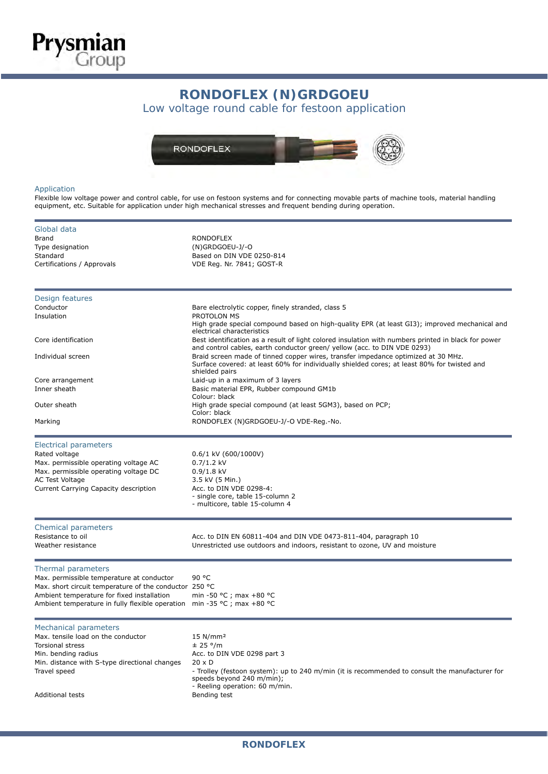

## RONDOFLEX (N)GRDGOEU **RONDOFLEX (N)GRDGOEU**

 $\alpha$  voltage found cable for festoon application Low voltage round cable for festoon application



## Application

Flexible low voltage power and control cable, for use on festoon systems and for connecting movable parts of machine tools, material handling equipment, etc. Suitable for application under high mechanical stresses and frequent bending during operation.

| Global data<br><b>Brand</b><br>Type designation<br>Standard<br>Certifications / Approvals                            | <b>RONDOFLEX</b><br>(N)GRDGOEU-J/-O<br>Based on DIN VDE 0250-814<br>VDE Reg. Nr. 7841; GOST-R                                                                                                      |  |  |  |  |  |  |
|----------------------------------------------------------------------------------------------------------------------|----------------------------------------------------------------------------------------------------------------------------------------------------------------------------------------------------|--|--|--|--|--|--|
| Design features<br>Conductor                                                                                         |                                                                                                                                                                                                    |  |  |  |  |  |  |
| Insulation                                                                                                           | Bare electrolytic copper, finely stranded, class 5<br>PROTOLON MS<br>High grade special compound based on high-quality EPR (at least GI3); improved mechanical and<br>electrical characteristics   |  |  |  |  |  |  |
| Core identification                                                                                                  | Best identification as a result of light colored insulation with numbers printed in black for power<br>and control cables, earth conductor green/ yellow (acc. to DIN VDE 0293)                    |  |  |  |  |  |  |
| Individual screen                                                                                                    | Braid screen made of tinned copper wires, transfer impedance optimized at 30 MHz.<br>Surface covered: at least 60% for individually shielded cores; at least 80% for twisted and<br>shielded pairs |  |  |  |  |  |  |
| Core arrangement                                                                                                     | Laid-up in a maximum of 3 layers                                                                                                                                                                   |  |  |  |  |  |  |
| Inner sheath                                                                                                         | Basic material EPR, Rubber compound GM1b<br>Colour: black                                                                                                                                          |  |  |  |  |  |  |
| Outer sheath                                                                                                         | High grade special compound (at least 5GM3), based on PCP;<br>Color: black                                                                                                                         |  |  |  |  |  |  |
| Marking                                                                                                              | RONDOFLEX (N)GRDGOEU-J/-O VDE-Reg.-No.                                                                                                                                                             |  |  |  |  |  |  |
| <b>Electrical parameters</b>                                                                                         |                                                                                                                                                                                                    |  |  |  |  |  |  |
| Rated voltage                                                                                                        | $0.6/1$ kV (600/1000V)                                                                                                                                                                             |  |  |  |  |  |  |
| Max. permissible operating voltage AC                                                                                | $0.7/1.2$ kV                                                                                                                                                                                       |  |  |  |  |  |  |
| Max. permissible operating voltage DC                                                                                | $0.9/1.8$ kV                                                                                                                                                                                       |  |  |  |  |  |  |
| AC Test Voltage                                                                                                      | 3.5 kV (5 Min.)                                                                                                                                                                                    |  |  |  |  |  |  |
| Current Carrying Capacity description                                                                                | Acc. to DIN VDE 0298-4:<br>- single core, table 15-column 2                                                                                                                                        |  |  |  |  |  |  |
|                                                                                                                      | - multicore, table 15-column 4                                                                                                                                                                     |  |  |  |  |  |  |
| Chemical parameters                                                                                                  |                                                                                                                                                                                                    |  |  |  |  |  |  |
| Resistance to oil<br>Weather resistance                                                                              | Acc. to DIN EN 60811-404 and DIN VDE 0473-811-404, paragraph 10<br>Unrestricted use outdoors and indoors, resistant to ozone, UV and moisture                                                      |  |  |  |  |  |  |
| Thermal parameters                                                                                                   |                                                                                                                                                                                                    |  |  |  |  |  |  |
| Max. permissible temperature at conductor                                                                            | 90 °C                                                                                                                                                                                              |  |  |  |  |  |  |
| Max. short circuit temperature of the conductor 250 °C                                                               |                                                                                                                                                                                                    |  |  |  |  |  |  |
| Ambient temperature for fixed installation<br>Ambient temperature in fully flexible operation min -35 °C; max +80 °C | min -50 °C ; max +80 °C                                                                                                                                                                            |  |  |  |  |  |  |
|                                                                                                                      |                                                                                                                                                                                                    |  |  |  |  |  |  |
| <b>Mechanical parameters</b>                                                                                         |                                                                                                                                                                                                    |  |  |  |  |  |  |
| Max. tensile load on the conductor                                                                                   | $15$ N/mm <sup>2</sup>                                                                                                                                                                             |  |  |  |  |  |  |
| <b>Torsional stress</b><br>Min. bending radius                                                                       | ± 25 °/m<br>Acc. to DIN VDE 0298 part 3                                                                                                                                                            |  |  |  |  |  |  |
| Min. distance with S-type directional changes                                                                        | $20 \times D$                                                                                                                                                                                      |  |  |  |  |  |  |
| Travel speed                                                                                                         | - Trolley (festoon system): up to 240 m/min (it is recommended to consult the manufacturer for                                                                                                     |  |  |  |  |  |  |
|                                                                                                                      | speeds beyond 240 m/min);                                                                                                                                                                          |  |  |  |  |  |  |
|                                                                                                                      | - Reeling operation: 60 m/min.                                                                                                                                                                     |  |  |  |  |  |  |
| <b>Additional tests</b>                                                                                              | Bending test                                                                                                                                                                                       |  |  |  |  |  |  |
|                                                                                                                      |                                                                                                                                                                                                    |  |  |  |  |  |  |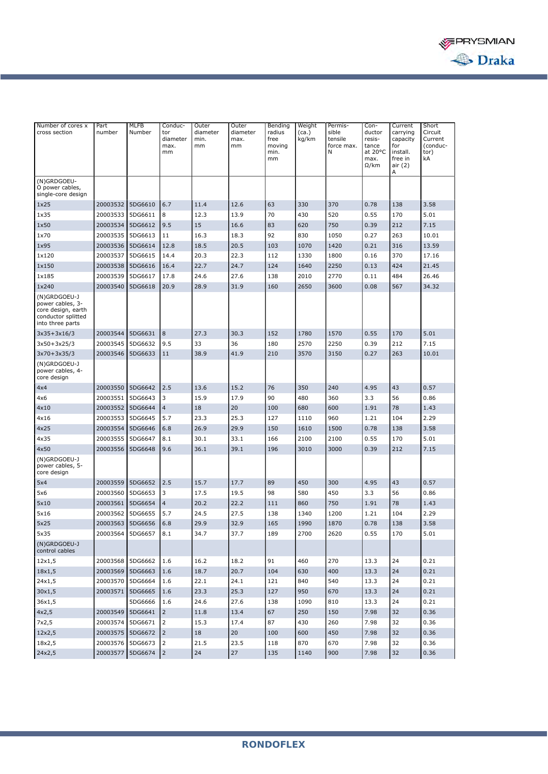

| free<br>kg/km<br>tensile<br>Current<br>diameter<br>min.<br>max.<br>resis-<br>capacity<br>force max.<br>(conduc-<br>max.<br>mm<br>mm<br>moving<br>tance<br>for<br>N<br>at 20°C<br>tor)<br>mm<br>min.<br>install.<br>mm<br>max.<br>free in<br>kA<br>$\Omega$ /km<br>air (2)<br>Α<br>(N)GRDGOEU-<br>O power cables,<br>single-core design<br>6.7<br>0.78<br>20003532<br>5DG6610<br>11.4<br>12.6<br>63<br>330<br>370<br>138<br>3.58<br>1x25<br>20003533<br>5DG6611<br>8<br>12.3<br>70<br>430<br>520<br>0.55<br>170<br>5.01<br>13.9<br>1x35<br>20003534<br>15<br>750<br>0.39<br>212<br>7.15<br>5DG6612<br>9.5<br>16.6<br>83<br>620<br>1x50<br>20003535<br>5DG6613<br>11<br>16.3<br>18.3<br>92<br>830<br>1050<br>0.27<br>263<br>10.01<br>1x70<br>5DG6614<br>20.5<br>1420<br>0.21<br>316<br>13.59<br>1x95<br>20003536<br>12.8<br>18.5<br>103<br>1070<br>14.4<br>20.3<br>22.3<br>0.16<br>370<br>1×120<br>20003537<br>5DG6615<br>112<br>1330<br>1800<br>17.16<br>20003538<br>5DG6616<br>22.7<br>24.7<br>124<br>1640<br>2250<br>0.13<br>424<br>21.45<br>1×150<br>16.4<br>20003539<br>5DG6617<br>17.8<br>24.6<br>27.6<br>2010<br>2770<br>0.11<br>484<br>26.46<br>1×185<br>138<br>20.9<br>28.9<br>31.9<br>2650<br>0.08<br>567<br>34.32<br>1x240<br>20003540<br>5DG6618<br>160<br>3600<br>(N)GRDGOEU-J<br>power cables, 3-<br>core design, earth<br>conductor splitted<br>into three parts<br>8<br>27.3<br>170<br>5.01<br>$3x35+3x16/3$<br>20003544<br>5DG6631<br>30.3<br>152<br>1780<br>1570<br>0.55<br>212<br>9.5<br>33<br>36<br>180<br>2570<br>2250<br>7.15<br>20003545<br>5DG6632<br>0.39<br>$3x50+3x25/3$<br>20003546<br>5DG6633<br>38.9<br>41.9<br>210<br>3570<br>3150<br>0.27<br>263<br>10.01<br>$3x70+3x35/3$<br>11<br>(N)GRDGOEU-J<br>power cables, 4-<br>core design<br>2.5<br>240<br>43<br>0.57<br>20003550<br>5DG6642<br>13.6<br>15.2<br>76<br>350<br>4.95<br>4x4<br>3<br>15.9<br>90<br>360<br>3.3<br>56<br>20003551<br>5DG6643<br>17.9<br>480<br>0.86<br>4x6<br>$\overline{4}$<br>18<br>20<br>600<br>78<br>20003552<br>5DG6644<br>100<br>680<br>1.91<br>1.43<br>4x10<br>5DG6645<br>5.7<br>23.3<br>25.3<br>960<br>104<br>2.29<br>20003553<br>127<br>1110<br>1.21<br>4x16<br>20003554<br>5DG6646<br>26.9<br>29.9<br>150<br>1610<br>1500<br>0.78<br>138<br>3.58<br>4x25<br>6.8<br>5.01<br>20003555<br>5DG6647<br>8.1<br>30.1<br>33.1<br>166<br>2100<br>2100<br>0.55<br>170<br>4x35<br>39.1<br>3010<br>3000<br>212<br>7.15<br>4x50<br>20003556<br>5DG6648<br>9.6<br>36.1<br>196<br>0.39<br>(N)GRDGOEU-J<br>power cables, 5-<br>core design<br>2.5<br>15.7<br>17.7<br>300<br>4.95<br>0.57<br>20003559<br>5DG6652<br>89<br>450<br>43<br>5x4<br>5DG6653<br>3<br>17.5<br>19.5<br>98<br>580<br>450<br>3.3<br>56<br>0.86<br>20003560<br>5x6<br>20003561<br>5DG6654<br>$\overline{4}$<br>20.2<br>22.2<br>750<br>78<br>111<br>860<br>1.91<br>1.43<br>5x10<br>5.7<br>24.5<br>27.5<br>1200<br>1.21<br>2.29<br>20003562<br>5DG6655<br>138<br>1340<br>104<br>5x16<br>20003563 5DG6656<br>29.9<br>0.78<br>6.8<br>32.9<br>165<br>1990<br>1870<br>138<br>3.58<br>5x25<br>8.1<br>5.01<br>5x35<br>20003564 5DG6657<br>34.7<br>37.7<br>189<br>2700<br>2620<br>0.55<br>170<br>(N)GRDGOEU-J<br>control cables<br>12x1,5<br>20003568 5DG6662<br>1.6<br>16.2<br>18.2<br>91<br>460<br>270<br>24<br>0.21<br>13.3<br>18x1,5<br>5DG6663<br>1.6<br>18.7<br>20.7<br>104<br>630<br>400<br>13.3<br>24<br>0.21<br>20003569<br>540<br>24x1,5<br>5DG6664<br>22.1<br>24.1<br>121<br>840<br>24<br>0.21<br>20003570<br>1.6<br>13.3<br>23.3<br>25.3<br>127<br>950<br>670<br>24<br>0.21<br>30x1,5<br>20003571<br>5DG6665<br>1.6<br>13.3<br>36x1,5<br>5DG6666<br>1.6<br>24.6<br>27.6<br>138<br>1090<br>810<br>13.3<br>24<br>0.21<br>$\overline{2}$<br>5DG6641<br>67<br>250<br>150<br>7.98<br>32<br>0.36<br>4x2,5<br>20003549<br>11.8<br>13.4 | Number of cores x | Part     | <b>MLFB</b> | Conduc-        | Outer    | Outer    | Bending | Weight | Permis- | Con-   | Current  | Short   |
|---------------------------------------------------------------------------------------------------------------------------------------------------------------------------------------------------------------------------------------------------------------------------------------------------------------------------------------------------------------------------------------------------------------------------------------------------------------------------------------------------------------------------------------------------------------------------------------------------------------------------------------------------------------------------------------------------------------------------------------------------------------------------------------------------------------------------------------------------------------------------------------------------------------------------------------------------------------------------------------------------------------------------------------------------------------------------------------------------------------------------------------------------------------------------------------------------------------------------------------------------------------------------------------------------------------------------------------------------------------------------------------------------------------------------------------------------------------------------------------------------------------------------------------------------------------------------------------------------------------------------------------------------------------------------------------------------------------------------------------------------------------------------------------------------------------------------------------------------------------------------------------------------------------------------------------------------------------------------------------------------------------------------------------------------------------------------------------------------------------------------------------------------------------------------------------------------------------------------------------------------------------------------------------------------------------------------------------------------------------------------------------------------------------------------------------------------------------------------------------------------------------------------------------------------------------------------------------------------------------------------------------------------------------------------------------------------------------------------------------------------------------------------------------------------------------------------------------------------------------------------------------------------------------------------------------------------------------------------------------------------------------------------------------------------------------------------------------------------------------------------------------------------------------------------------------------------------------------------------------------------------------------------------------------------------------------------------------------------------------------------------------------------------------------------------------------------------------------------------------------------------------------------------------------------------------------------------------------------------------------------------------------------------------------------------------------------------------------------------------------------------------------------------------------------|-------------------|----------|-------------|----------------|----------|----------|---------|--------|---------|--------|----------|---------|
|                                                                                                                                                                                                                                                                                                                                                                                                                                                                                                                                                                                                                                                                                                                                                                                                                                                                                                                                                                                                                                                                                                                                                                                                                                                                                                                                                                                                                                                                                                                                                                                                                                                                                                                                                                                                                                                                                                                                                                                                                                                                                                                                                                                                                                                                                                                                                                                                                                                                                                                                                                                                                                                                                                                                                                                                                                                                                                                                                                                                                                                                                                                                                                                                                                                                                                                                                                                                                                                                                                                                                                                                                                                                                                                                                                                                   | cross section     | number   | Number      | tor            | diameter | diameter | radius  | (ca.)  | sible   | ductor | carrying | Circuit |
|                                                                                                                                                                                                                                                                                                                                                                                                                                                                                                                                                                                                                                                                                                                                                                                                                                                                                                                                                                                                                                                                                                                                                                                                                                                                                                                                                                                                                                                                                                                                                                                                                                                                                                                                                                                                                                                                                                                                                                                                                                                                                                                                                                                                                                                                                                                                                                                                                                                                                                                                                                                                                                                                                                                                                                                                                                                                                                                                                                                                                                                                                                                                                                                                                                                                                                                                                                                                                                                                                                                                                                                                                                                                                                                                                                                                   |                   |          |             |                |          |          |         |        |         |        |          |         |
|                                                                                                                                                                                                                                                                                                                                                                                                                                                                                                                                                                                                                                                                                                                                                                                                                                                                                                                                                                                                                                                                                                                                                                                                                                                                                                                                                                                                                                                                                                                                                                                                                                                                                                                                                                                                                                                                                                                                                                                                                                                                                                                                                                                                                                                                                                                                                                                                                                                                                                                                                                                                                                                                                                                                                                                                                                                                                                                                                                                                                                                                                                                                                                                                                                                                                                                                                                                                                                                                                                                                                                                                                                                                                                                                                                                                   |                   |          |             |                |          |          |         |        |         |        |          |         |
|                                                                                                                                                                                                                                                                                                                                                                                                                                                                                                                                                                                                                                                                                                                                                                                                                                                                                                                                                                                                                                                                                                                                                                                                                                                                                                                                                                                                                                                                                                                                                                                                                                                                                                                                                                                                                                                                                                                                                                                                                                                                                                                                                                                                                                                                                                                                                                                                                                                                                                                                                                                                                                                                                                                                                                                                                                                                                                                                                                                                                                                                                                                                                                                                                                                                                                                                                                                                                                                                                                                                                                                                                                                                                                                                                                                                   |                   |          |             |                |          |          |         |        |         |        |          |         |
|                                                                                                                                                                                                                                                                                                                                                                                                                                                                                                                                                                                                                                                                                                                                                                                                                                                                                                                                                                                                                                                                                                                                                                                                                                                                                                                                                                                                                                                                                                                                                                                                                                                                                                                                                                                                                                                                                                                                                                                                                                                                                                                                                                                                                                                                                                                                                                                                                                                                                                                                                                                                                                                                                                                                                                                                                                                                                                                                                                                                                                                                                                                                                                                                                                                                                                                                                                                                                                                                                                                                                                                                                                                                                                                                                                                                   |                   |          |             |                |          |          |         |        |         |        |          |         |
|                                                                                                                                                                                                                                                                                                                                                                                                                                                                                                                                                                                                                                                                                                                                                                                                                                                                                                                                                                                                                                                                                                                                                                                                                                                                                                                                                                                                                                                                                                                                                                                                                                                                                                                                                                                                                                                                                                                                                                                                                                                                                                                                                                                                                                                                                                                                                                                                                                                                                                                                                                                                                                                                                                                                                                                                                                                                                                                                                                                                                                                                                                                                                                                                                                                                                                                                                                                                                                                                                                                                                                                                                                                                                                                                                                                                   |                   |          |             |                |          |          |         |        |         |        |          |         |
|                                                                                                                                                                                                                                                                                                                                                                                                                                                                                                                                                                                                                                                                                                                                                                                                                                                                                                                                                                                                                                                                                                                                                                                                                                                                                                                                                                                                                                                                                                                                                                                                                                                                                                                                                                                                                                                                                                                                                                                                                                                                                                                                                                                                                                                                                                                                                                                                                                                                                                                                                                                                                                                                                                                                                                                                                                                                                                                                                                                                                                                                                                                                                                                                                                                                                                                                                                                                                                                                                                                                                                                                                                                                                                                                                                                                   |                   |          |             |                |          |          |         |        |         |        |          |         |
|                                                                                                                                                                                                                                                                                                                                                                                                                                                                                                                                                                                                                                                                                                                                                                                                                                                                                                                                                                                                                                                                                                                                                                                                                                                                                                                                                                                                                                                                                                                                                                                                                                                                                                                                                                                                                                                                                                                                                                                                                                                                                                                                                                                                                                                                                                                                                                                                                                                                                                                                                                                                                                                                                                                                                                                                                                                                                                                                                                                                                                                                                                                                                                                                                                                                                                                                                                                                                                                                                                                                                                                                                                                                                                                                                                                                   |                   |          |             |                |          |          |         |        |         |        |          |         |
|                                                                                                                                                                                                                                                                                                                                                                                                                                                                                                                                                                                                                                                                                                                                                                                                                                                                                                                                                                                                                                                                                                                                                                                                                                                                                                                                                                                                                                                                                                                                                                                                                                                                                                                                                                                                                                                                                                                                                                                                                                                                                                                                                                                                                                                                                                                                                                                                                                                                                                                                                                                                                                                                                                                                                                                                                                                                                                                                                                                                                                                                                                                                                                                                                                                                                                                                                                                                                                                                                                                                                                                                                                                                                                                                                                                                   |                   |          |             |                |          |          |         |        |         |        |          |         |
|                                                                                                                                                                                                                                                                                                                                                                                                                                                                                                                                                                                                                                                                                                                                                                                                                                                                                                                                                                                                                                                                                                                                                                                                                                                                                                                                                                                                                                                                                                                                                                                                                                                                                                                                                                                                                                                                                                                                                                                                                                                                                                                                                                                                                                                                                                                                                                                                                                                                                                                                                                                                                                                                                                                                                                                                                                                                                                                                                                                                                                                                                                                                                                                                                                                                                                                                                                                                                                                                                                                                                                                                                                                                                                                                                                                                   |                   |          |             |                |          |          |         |        |         |        |          |         |
|                                                                                                                                                                                                                                                                                                                                                                                                                                                                                                                                                                                                                                                                                                                                                                                                                                                                                                                                                                                                                                                                                                                                                                                                                                                                                                                                                                                                                                                                                                                                                                                                                                                                                                                                                                                                                                                                                                                                                                                                                                                                                                                                                                                                                                                                                                                                                                                                                                                                                                                                                                                                                                                                                                                                                                                                                                                                                                                                                                                                                                                                                                                                                                                                                                                                                                                                                                                                                                                                                                                                                                                                                                                                                                                                                                                                   |                   |          |             |                |          |          |         |        |         |        |          |         |
|                                                                                                                                                                                                                                                                                                                                                                                                                                                                                                                                                                                                                                                                                                                                                                                                                                                                                                                                                                                                                                                                                                                                                                                                                                                                                                                                                                                                                                                                                                                                                                                                                                                                                                                                                                                                                                                                                                                                                                                                                                                                                                                                                                                                                                                                                                                                                                                                                                                                                                                                                                                                                                                                                                                                                                                                                                                                                                                                                                                                                                                                                                                                                                                                                                                                                                                                                                                                                                                                                                                                                                                                                                                                                                                                                                                                   |                   |          |             |                |          |          |         |        |         |        |          |         |
|                                                                                                                                                                                                                                                                                                                                                                                                                                                                                                                                                                                                                                                                                                                                                                                                                                                                                                                                                                                                                                                                                                                                                                                                                                                                                                                                                                                                                                                                                                                                                                                                                                                                                                                                                                                                                                                                                                                                                                                                                                                                                                                                                                                                                                                                                                                                                                                                                                                                                                                                                                                                                                                                                                                                                                                                                                                                                                                                                                                                                                                                                                                                                                                                                                                                                                                                                                                                                                                                                                                                                                                                                                                                                                                                                                                                   |                   |          |             |                |          |          |         |        |         |        |          |         |
|                                                                                                                                                                                                                                                                                                                                                                                                                                                                                                                                                                                                                                                                                                                                                                                                                                                                                                                                                                                                                                                                                                                                                                                                                                                                                                                                                                                                                                                                                                                                                                                                                                                                                                                                                                                                                                                                                                                                                                                                                                                                                                                                                                                                                                                                                                                                                                                                                                                                                                                                                                                                                                                                                                                                                                                                                                                                                                                                                                                                                                                                                                                                                                                                                                                                                                                                                                                                                                                                                                                                                                                                                                                                                                                                                                                                   |                   |          |             |                |          |          |         |        |         |        |          |         |
|                                                                                                                                                                                                                                                                                                                                                                                                                                                                                                                                                                                                                                                                                                                                                                                                                                                                                                                                                                                                                                                                                                                                                                                                                                                                                                                                                                                                                                                                                                                                                                                                                                                                                                                                                                                                                                                                                                                                                                                                                                                                                                                                                                                                                                                                                                                                                                                                                                                                                                                                                                                                                                                                                                                                                                                                                                                                                                                                                                                                                                                                                                                                                                                                                                                                                                                                                                                                                                                                                                                                                                                                                                                                                                                                                                                                   |                   |          |             |                |          |          |         |        |         |        |          |         |
|                                                                                                                                                                                                                                                                                                                                                                                                                                                                                                                                                                                                                                                                                                                                                                                                                                                                                                                                                                                                                                                                                                                                                                                                                                                                                                                                                                                                                                                                                                                                                                                                                                                                                                                                                                                                                                                                                                                                                                                                                                                                                                                                                                                                                                                                                                                                                                                                                                                                                                                                                                                                                                                                                                                                                                                                                                                                                                                                                                                                                                                                                                                                                                                                                                                                                                                                                                                                                                                                                                                                                                                                                                                                                                                                                                                                   |                   |          |             |                |          |          |         |        |         |        |          |         |
|                                                                                                                                                                                                                                                                                                                                                                                                                                                                                                                                                                                                                                                                                                                                                                                                                                                                                                                                                                                                                                                                                                                                                                                                                                                                                                                                                                                                                                                                                                                                                                                                                                                                                                                                                                                                                                                                                                                                                                                                                                                                                                                                                                                                                                                                                                                                                                                                                                                                                                                                                                                                                                                                                                                                                                                                                                                                                                                                                                                                                                                                                                                                                                                                                                                                                                                                                                                                                                                                                                                                                                                                                                                                                                                                                                                                   |                   |          |             |                |          |          |         |        |         |        |          |         |
|                                                                                                                                                                                                                                                                                                                                                                                                                                                                                                                                                                                                                                                                                                                                                                                                                                                                                                                                                                                                                                                                                                                                                                                                                                                                                                                                                                                                                                                                                                                                                                                                                                                                                                                                                                                                                                                                                                                                                                                                                                                                                                                                                                                                                                                                                                                                                                                                                                                                                                                                                                                                                                                                                                                                                                                                                                                                                                                                                                                                                                                                                                                                                                                                                                                                                                                                                                                                                                                                                                                                                                                                                                                                                                                                                                                                   |                   |          |             |                |          |          |         |        |         |        |          |         |
|                                                                                                                                                                                                                                                                                                                                                                                                                                                                                                                                                                                                                                                                                                                                                                                                                                                                                                                                                                                                                                                                                                                                                                                                                                                                                                                                                                                                                                                                                                                                                                                                                                                                                                                                                                                                                                                                                                                                                                                                                                                                                                                                                                                                                                                                                                                                                                                                                                                                                                                                                                                                                                                                                                                                                                                                                                                                                                                                                                                                                                                                                                                                                                                                                                                                                                                                                                                                                                                                                                                                                                                                                                                                                                                                                                                                   |                   |          |             |                |          |          |         |        |         |        |          |         |
|                                                                                                                                                                                                                                                                                                                                                                                                                                                                                                                                                                                                                                                                                                                                                                                                                                                                                                                                                                                                                                                                                                                                                                                                                                                                                                                                                                                                                                                                                                                                                                                                                                                                                                                                                                                                                                                                                                                                                                                                                                                                                                                                                                                                                                                                                                                                                                                                                                                                                                                                                                                                                                                                                                                                                                                                                                                                                                                                                                                                                                                                                                                                                                                                                                                                                                                                                                                                                                                                                                                                                                                                                                                                                                                                                                                                   |                   |          |             |                |          |          |         |        |         |        |          |         |
|                                                                                                                                                                                                                                                                                                                                                                                                                                                                                                                                                                                                                                                                                                                                                                                                                                                                                                                                                                                                                                                                                                                                                                                                                                                                                                                                                                                                                                                                                                                                                                                                                                                                                                                                                                                                                                                                                                                                                                                                                                                                                                                                                                                                                                                                                                                                                                                                                                                                                                                                                                                                                                                                                                                                                                                                                                                                                                                                                                                                                                                                                                                                                                                                                                                                                                                                                                                                                                                                                                                                                                                                                                                                                                                                                                                                   |                   |          |             |                |          |          |         |        |         |        |          |         |
|                                                                                                                                                                                                                                                                                                                                                                                                                                                                                                                                                                                                                                                                                                                                                                                                                                                                                                                                                                                                                                                                                                                                                                                                                                                                                                                                                                                                                                                                                                                                                                                                                                                                                                                                                                                                                                                                                                                                                                                                                                                                                                                                                                                                                                                                                                                                                                                                                                                                                                                                                                                                                                                                                                                                                                                                                                                                                                                                                                                                                                                                                                                                                                                                                                                                                                                                                                                                                                                                                                                                                                                                                                                                                                                                                                                                   |                   |          |             |                |          |          |         |        |         |        |          |         |
|                                                                                                                                                                                                                                                                                                                                                                                                                                                                                                                                                                                                                                                                                                                                                                                                                                                                                                                                                                                                                                                                                                                                                                                                                                                                                                                                                                                                                                                                                                                                                                                                                                                                                                                                                                                                                                                                                                                                                                                                                                                                                                                                                                                                                                                                                                                                                                                                                                                                                                                                                                                                                                                                                                                                                                                                                                                                                                                                                                                                                                                                                                                                                                                                                                                                                                                                                                                                                                                                                                                                                                                                                                                                                                                                                                                                   |                   |          |             |                |          |          |         |        |         |        |          |         |
|                                                                                                                                                                                                                                                                                                                                                                                                                                                                                                                                                                                                                                                                                                                                                                                                                                                                                                                                                                                                                                                                                                                                                                                                                                                                                                                                                                                                                                                                                                                                                                                                                                                                                                                                                                                                                                                                                                                                                                                                                                                                                                                                                                                                                                                                                                                                                                                                                                                                                                                                                                                                                                                                                                                                                                                                                                                                                                                                                                                                                                                                                                                                                                                                                                                                                                                                                                                                                                                                                                                                                                                                                                                                                                                                                                                                   |                   |          |             |                |          |          |         |        |         |        |          |         |
|                                                                                                                                                                                                                                                                                                                                                                                                                                                                                                                                                                                                                                                                                                                                                                                                                                                                                                                                                                                                                                                                                                                                                                                                                                                                                                                                                                                                                                                                                                                                                                                                                                                                                                                                                                                                                                                                                                                                                                                                                                                                                                                                                                                                                                                                                                                                                                                                                                                                                                                                                                                                                                                                                                                                                                                                                                                                                                                                                                                                                                                                                                                                                                                                                                                                                                                                                                                                                                                                                                                                                                                                                                                                                                                                                                                                   |                   |          |             |                |          |          |         |        |         |        |          |         |
|                                                                                                                                                                                                                                                                                                                                                                                                                                                                                                                                                                                                                                                                                                                                                                                                                                                                                                                                                                                                                                                                                                                                                                                                                                                                                                                                                                                                                                                                                                                                                                                                                                                                                                                                                                                                                                                                                                                                                                                                                                                                                                                                                                                                                                                                                                                                                                                                                                                                                                                                                                                                                                                                                                                                                                                                                                                                                                                                                                                                                                                                                                                                                                                                                                                                                                                                                                                                                                                                                                                                                                                                                                                                                                                                                                                                   |                   |          |             |                |          |          |         |        |         |        |          |         |
|                                                                                                                                                                                                                                                                                                                                                                                                                                                                                                                                                                                                                                                                                                                                                                                                                                                                                                                                                                                                                                                                                                                                                                                                                                                                                                                                                                                                                                                                                                                                                                                                                                                                                                                                                                                                                                                                                                                                                                                                                                                                                                                                                                                                                                                                                                                                                                                                                                                                                                                                                                                                                                                                                                                                                                                                                                                                                                                                                                                                                                                                                                                                                                                                                                                                                                                                                                                                                                                                                                                                                                                                                                                                                                                                                                                                   |                   |          |             |                |          |          |         |        |         |        |          |         |
|                                                                                                                                                                                                                                                                                                                                                                                                                                                                                                                                                                                                                                                                                                                                                                                                                                                                                                                                                                                                                                                                                                                                                                                                                                                                                                                                                                                                                                                                                                                                                                                                                                                                                                                                                                                                                                                                                                                                                                                                                                                                                                                                                                                                                                                                                                                                                                                                                                                                                                                                                                                                                                                                                                                                                                                                                                                                                                                                                                                                                                                                                                                                                                                                                                                                                                                                                                                                                                                                                                                                                                                                                                                                                                                                                                                                   |                   |          |             |                |          |          |         |        |         |        |          |         |
|                                                                                                                                                                                                                                                                                                                                                                                                                                                                                                                                                                                                                                                                                                                                                                                                                                                                                                                                                                                                                                                                                                                                                                                                                                                                                                                                                                                                                                                                                                                                                                                                                                                                                                                                                                                                                                                                                                                                                                                                                                                                                                                                                                                                                                                                                                                                                                                                                                                                                                                                                                                                                                                                                                                                                                                                                                                                                                                                                                                                                                                                                                                                                                                                                                                                                                                                                                                                                                                                                                                                                                                                                                                                                                                                                                                                   |                   |          |             |                |          |          |         |        |         |        |          |         |
|                                                                                                                                                                                                                                                                                                                                                                                                                                                                                                                                                                                                                                                                                                                                                                                                                                                                                                                                                                                                                                                                                                                                                                                                                                                                                                                                                                                                                                                                                                                                                                                                                                                                                                                                                                                                                                                                                                                                                                                                                                                                                                                                                                                                                                                                                                                                                                                                                                                                                                                                                                                                                                                                                                                                                                                                                                                                                                                                                                                                                                                                                                                                                                                                                                                                                                                                                                                                                                                                                                                                                                                                                                                                                                                                                                                                   |                   |          |             |                |          |          |         |        |         |        |          |         |
|                                                                                                                                                                                                                                                                                                                                                                                                                                                                                                                                                                                                                                                                                                                                                                                                                                                                                                                                                                                                                                                                                                                                                                                                                                                                                                                                                                                                                                                                                                                                                                                                                                                                                                                                                                                                                                                                                                                                                                                                                                                                                                                                                                                                                                                                                                                                                                                                                                                                                                                                                                                                                                                                                                                                                                                                                                                                                                                                                                                                                                                                                                                                                                                                                                                                                                                                                                                                                                                                                                                                                                                                                                                                                                                                                                                                   |                   |          |             |                |          |          |         |        |         |        |          |         |
|                                                                                                                                                                                                                                                                                                                                                                                                                                                                                                                                                                                                                                                                                                                                                                                                                                                                                                                                                                                                                                                                                                                                                                                                                                                                                                                                                                                                                                                                                                                                                                                                                                                                                                                                                                                                                                                                                                                                                                                                                                                                                                                                                                                                                                                                                                                                                                                                                                                                                                                                                                                                                                                                                                                                                                                                                                                                                                                                                                                                                                                                                                                                                                                                                                                                                                                                                                                                                                                                                                                                                                                                                                                                                                                                                                                                   |                   |          |             |                |          |          |         |        |         |        |          |         |
|                                                                                                                                                                                                                                                                                                                                                                                                                                                                                                                                                                                                                                                                                                                                                                                                                                                                                                                                                                                                                                                                                                                                                                                                                                                                                                                                                                                                                                                                                                                                                                                                                                                                                                                                                                                                                                                                                                                                                                                                                                                                                                                                                                                                                                                                                                                                                                                                                                                                                                                                                                                                                                                                                                                                                                                                                                                                                                                                                                                                                                                                                                                                                                                                                                                                                                                                                                                                                                                                                                                                                                                                                                                                                                                                                                                                   |                   |          |             |                |          |          |         |        |         |        |          |         |
|                                                                                                                                                                                                                                                                                                                                                                                                                                                                                                                                                                                                                                                                                                                                                                                                                                                                                                                                                                                                                                                                                                                                                                                                                                                                                                                                                                                                                                                                                                                                                                                                                                                                                                                                                                                                                                                                                                                                                                                                                                                                                                                                                                                                                                                                                                                                                                                                                                                                                                                                                                                                                                                                                                                                                                                                                                                                                                                                                                                                                                                                                                                                                                                                                                                                                                                                                                                                                                                                                                                                                                                                                                                                                                                                                                                                   |                   |          |             |                |          |          |         |        |         |        |          |         |
|                                                                                                                                                                                                                                                                                                                                                                                                                                                                                                                                                                                                                                                                                                                                                                                                                                                                                                                                                                                                                                                                                                                                                                                                                                                                                                                                                                                                                                                                                                                                                                                                                                                                                                                                                                                                                                                                                                                                                                                                                                                                                                                                                                                                                                                                                                                                                                                                                                                                                                                                                                                                                                                                                                                                                                                                                                                                                                                                                                                                                                                                                                                                                                                                                                                                                                                                                                                                                                                                                                                                                                                                                                                                                                                                                                                                   |                   |          |             |                |          |          |         |        |         |        |          |         |
|                                                                                                                                                                                                                                                                                                                                                                                                                                                                                                                                                                                                                                                                                                                                                                                                                                                                                                                                                                                                                                                                                                                                                                                                                                                                                                                                                                                                                                                                                                                                                                                                                                                                                                                                                                                                                                                                                                                                                                                                                                                                                                                                                                                                                                                                                                                                                                                                                                                                                                                                                                                                                                                                                                                                                                                                                                                                                                                                                                                                                                                                                                                                                                                                                                                                                                                                                                                                                                                                                                                                                                                                                                                                                                                                                                                                   |                   |          |             |                |          |          |         |        |         |        |          |         |
|                                                                                                                                                                                                                                                                                                                                                                                                                                                                                                                                                                                                                                                                                                                                                                                                                                                                                                                                                                                                                                                                                                                                                                                                                                                                                                                                                                                                                                                                                                                                                                                                                                                                                                                                                                                                                                                                                                                                                                                                                                                                                                                                                                                                                                                                                                                                                                                                                                                                                                                                                                                                                                                                                                                                                                                                                                                                                                                                                                                                                                                                                                                                                                                                                                                                                                                                                                                                                                                                                                                                                                                                                                                                                                                                                                                                   |                   |          |             |                |          |          |         |        |         |        |          |         |
|                                                                                                                                                                                                                                                                                                                                                                                                                                                                                                                                                                                                                                                                                                                                                                                                                                                                                                                                                                                                                                                                                                                                                                                                                                                                                                                                                                                                                                                                                                                                                                                                                                                                                                                                                                                                                                                                                                                                                                                                                                                                                                                                                                                                                                                                                                                                                                                                                                                                                                                                                                                                                                                                                                                                                                                                                                                                                                                                                                                                                                                                                                                                                                                                                                                                                                                                                                                                                                                                                                                                                                                                                                                                                                                                                                                                   |                   |          |             |                |          |          |         |        |         |        |          |         |
|                                                                                                                                                                                                                                                                                                                                                                                                                                                                                                                                                                                                                                                                                                                                                                                                                                                                                                                                                                                                                                                                                                                                                                                                                                                                                                                                                                                                                                                                                                                                                                                                                                                                                                                                                                                                                                                                                                                                                                                                                                                                                                                                                                                                                                                                                                                                                                                                                                                                                                                                                                                                                                                                                                                                                                                                                                                                                                                                                                                                                                                                                                                                                                                                                                                                                                                                                                                                                                                                                                                                                                                                                                                                                                                                                                                                   |                   |          |             |                |          |          |         |        |         |        |          |         |
|                                                                                                                                                                                                                                                                                                                                                                                                                                                                                                                                                                                                                                                                                                                                                                                                                                                                                                                                                                                                                                                                                                                                                                                                                                                                                                                                                                                                                                                                                                                                                                                                                                                                                                                                                                                                                                                                                                                                                                                                                                                                                                                                                                                                                                                                                                                                                                                                                                                                                                                                                                                                                                                                                                                                                                                                                                                                                                                                                                                                                                                                                                                                                                                                                                                                                                                                                                                                                                                                                                                                                                                                                                                                                                                                                                                                   |                   |          |             |                |          |          |         |        |         |        |          |         |
|                                                                                                                                                                                                                                                                                                                                                                                                                                                                                                                                                                                                                                                                                                                                                                                                                                                                                                                                                                                                                                                                                                                                                                                                                                                                                                                                                                                                                                                                                                                                                                                                                                                                                                                                                                                                                                                                                                                                                                                                                                                                                                                                                                                                                                                                                                                                                                                                                                                                                                                                                                                                                                                                                                                                                                                                                                                                                                                                                                                                                                                                                                                                                                                                                                                                                                                                                                                                                                                                                                                                                                                                                                                                                                                                                                                                   |                   |          |             |                |          |          |         |        |         |        |          |         |
|                                                                                                                                                                                                                                                                                                                                                                                                                                                                                                                                                                                                                                                                                                                                                                                                                                                                                                                                                                                                                                                                                                                                                                                                                                                                                                                                                                                                                                                                                                                                                                                                                                                                                                                                                                                                                                                                                                                                                                                                                                                                                                                                                                                                                                                                                                                                                                                                                                                                                                                                                                                                                                                                                                                                                                                                                                                                                                                                                                                                                                                                                                                                                                                                                                                                                                                                                                                                                                                                                                                                                                                                                                                                                                                                                                                                   |                   |          |             |                |          |          |         |        |         |        |          |         |
|                                                                                                                                                                                                                                                                                                                                                                                                                                                                                                                                                                                                                                                                                                                                                                                                                                                                                                                                                                                                                                                                                                                                                                                                                                                                                                                                                                                                                                                                                                                                                                                                                                                                                                                                                                                                                                                                                                                                                                                                                                                                                                                                                                                                                                                                                                                                                                                                                                                                                                                                                                                                                                                                                                                                                                                                                                                                                                                                                                                                                                                                                                                                                                                                                                                                                                                                                                                                                                                                                                                                                                                                                                                                                                                                                                                                   |                   |          |             |                |          |          |         |        |         |        |          |         |
|                                                                                                                                                                                                                                                                                                                                                                                                                                                                                                                                                                                                                                                                                                                                                                                                                                                                                                                                                                                                                                                                                                                                                                                                                                                                                                                                                                                                                                                                                                                                                                                                                                                                                                                                                                                                                                                                                                                                                                                                                                                                                                                                                                                                                                                                                                                                                                                                                                                                                                                                                                                                                                                                                                                                                                                                                                                                                                                                                                                                                                                                                                                                                                                                                                                                                                                                                                                                                                                                                                                                                                                                                                                                                                                                                                                                   |                   |          |             |                |          |          |         |        |         |        |          |         |
|                                                                                                                                                                                                                                                                                                                                                                                                                                                                                                                                                                                                                                                                                                                                                                                                                                                                                                                                                                                                                                                                                                                                                                                                                                                                                                                                                                                                                                                                                                                                                                                                                                                                                                                                                                                                                                                                                                                                                                                                                                                                                                                                                                                                                                                                                                                                                                                                                                                                                                                                                                                                                                                                                                                                                                                                                                                                                                                                                                                                                                                                                                                                                                                                                                                                                                                                                                                                                                                                                                                                                                                                                                                                                                                                                                                                   |                   |          |             |                |          |          |         |        |         |        |          |         |
|                                                                                                                                                                                                                                                                                                                                                                                                                                                                                                                                                                                                                                                                                                                                                                                                                                                                                                                                                                                                                                                                                                                                                                                                                                                                                                                                                                                                                                                                                                                                                                                                                                                                                                                                                                                                                                                                                                                                                                                                                                                                                                                                                                                                                                                                                                                                                                                                                                                                                                                                                                                                                                                                                                                                                                                                                                                                                                                                                                                                                                                                                                                                                                                                                                                                                                                                                                                                                                                                                                                                                                                                                                                                                                                                                                                                   |                   |          |             |                |          |          |         |        |         |        |          |         |
|                                                                                                                                                                                                                                                                                                                                                                                                                                                                                                                                                                                                                                                                                                                                                                                                                                                                                                                                                                                                                                                                                                                                                                                                                                                                                                                                                                                                                                                                                                                                                                                                                                                                                                                                                                                                                                                                                                                                                                                                                                                                                                                                                                                                                                                                                                                                                                                                                                                                                                                                                                                                                                                                                                                                                                                                                                                                                                                                                                                                                                                                                                                                                                                                                                                                                                                                                                                                                                                                                                                                                                                                                                                                                                                                                                                                   |                   |          |             |                |          |          |         |        |         |        |          |         |
|                                                                                                                                                                                                                                                                                                                                                                                                                                                                                                                                                                                                                                                                                                                                                                                                                                                                                                                                                                                                                                                                                                                                                                                                                                                                                                                                                                                                                                                                                                                                                                                                                                                                                                                                                                                                                                                                                                                                                                                                                                                                                                                                                                                                                                                                                                                                                                                                                                                                                                                                                                                                                                                                                                                                                                                                                                                                                                                                                                                                                                                                                                                                                                                                                                                                                                                                                                                                                                                                                                                                                                                                                                                                                                                                                                                                   |                   |          |             |                |          |          |         |        |         |        |          |         |
|                                                                                                                                                                                                                                                                                                                                                                                                                                                                                                                                                                                                                                                                                                                                                                                                                                                                                                                                                                                                                                                                                                                                                                                                                                                                                                                                                                                                                                                                                                                                                                                                                                                                                                                                                                                                                                                                                                                                                                                                                                                                                                                                                                                                                                                                                                                                                                                                                                                                                                                                                                                                                                                                                                                                                                                                                                                                                                                                                                                                                                                                                                                                                                                                                                                                                                                                                                                                                                                                                                                                                                                                                                                                                                                                                                                                   |                   |          |             |                |          |          |         |        |         |        |          |         |
|                                                                                                                                                                                                                                                                                                                                                                                                                                                                                                                                                                                                                                                                                                                                                                                                                                                                                                                                                                                                                                                                                                                                                                                                                                                                                                                                                                                                                                                                                                                                                                                                                                                                                                                                                                                                                                                                                                                                                                                                                                                                                                                                                                                                                                                                                                                                                                                                                                                                                                                                                                                                                                                                                                                                                                                                                                                                                                                                                                                                                                                                                                                                                                                                                                                                                                                                                                                                                                                                                                                                                                                                                                                                                                                                                                                                   |                   |          |             |                |          |          |         |        |         |        |          |         |
|                                                                                                                                                                                                                                                                                                                                                                                                                                                                                                                                                                                                                                                                                                                                                                                                                                                                                                                                                                                                                                                                                                                                                                                                                                                                                                                                                                                                                                                                                                                                                                                                                                                                                                                                                                                                                                                                                                                                                                                                                                                                                                                                                                                                                                                                                                                                                                                                                                                                                                                                                                                                                                                                                                                                                                                                                                                                                                                                                                                                                                                                                                                                                                                                                                                                                                                                                                                                                                                                                                                                                                                                                                                                                                                                                                                                   | 7x2,5             | 20003574 | 5DG6671     | $\overline{2}$ | 15.3     | 17.4     | 87      | 430    | 260     | 7.98   | 32       | 0.36    |
| 12x2,5<br>20003575<br>5DG6672<br>$\overline{2}$<br>18<br>20<br>100<br>600<br>450<br>7.98<br>32<br>0.36                                                                                                                                                                                                                                                                                                                                                                                                                                                                                                                                                                                                                                                                                                                                                                                                                                                                                                                                                                                                                                                                                                                                                                                                                                                                                                                                                                                                                                                                                                                                                                                                                                                                                                                                                                                                                                                                                                                                                                                                                                                                                                                                                                                                                                                                                                                                                                                                                                                                                                                                                                                                                                                                                                                                                                                                                                                                                                                                                                                                                                                                                                                                                                                                                                                                                                                                                                                                                                                                                                                                                                                                                                                                                            |                   |          |             |                |          |          |         |        |         |        |          |         |
| 0.36<br>18x2,5<br>20003576<br>5DG6673<br>$\overline{2}$<br>21.5<br>23.5<br>118<br>870<br>670<br>7.98<br>32                                                                                                                                                                                                                                                                                                                                                                                                                                                                                                                                                                                                                                                                                                                                                                                                                                                                                                                                                                                                                                                                                                                                                                                                                                                                                                                                                                                                                                                                                                                                                                                                                                                                                                                                                                                                                                                                                                                                                                                                                                                                                                                                                                                                                                                                                                                                                                                                                                                                                                                                                                                                                                                                                                                                                                                                                                                                                                                                                                                                                                                                                                                                                                                                                                                                                                                                                                                                                                                                                                                                                                                                                                                                                        |                   |          |             |                |          |          |         |        |         |        |          |         |
| $\mathbf 2$<br>24x2,5<br>20003577<br>5DG6674<br>24<br>27<br>1140<br>900<br>7.98<br>32<br>0.36<br>135                                                                                                                                                                                                                                                                                                                                                                                                                                                                                                                                                                                                                                                                                                                                                                                                                                                                                                                                                                                                                                                                                                                                                                                                                                                                                                                                                                                                                                                                                                                                                                                                                                                                                                                                                                                                                                                                                                                                                                                                                                                                                                                                                                                                                                                                                                                                                                                                                                                                                                                                                                                                                                                                                                                                                                                                                                                                                                                                                                                                                                                                                                                                                                                                                                                                                                                                                                                                                                                                                                                                                                                                                                                                                              |                   |          |             |                |          |          |         |        |         |        |          |         |